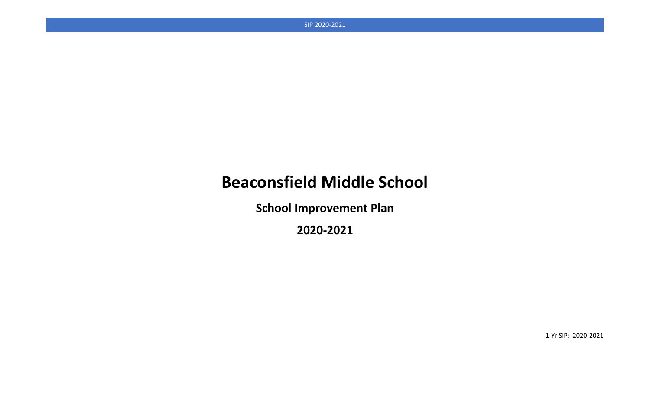# **Beaconsfield Middle School**

**School Improvement Plan**

**2020-2021**

1-Yr SIP: 2020-2021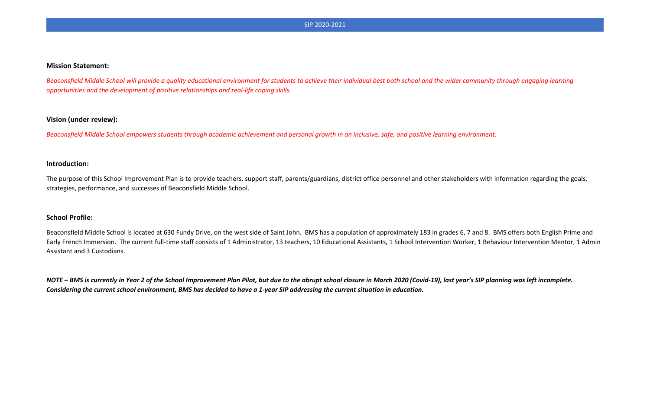#### **Mission Statement:**

Beaconsfield Middle School will provide a quality educational environment for students to achieve their individual best both school and the wider community through engaging learning *opportunities and the development of positive relationships and real-life coping skills.*

#### **Vision (under review):**

*Beaconsfield Middle School empowers students through academic achievement and personal growth in an inclusive, safe, and positive learning environment.* 

#### **Introduction:**

The purpose of this School Improvement Plan is to provide teachers, support staff, parents/guardians, district office personnel and other stakeholders with information regarding the goals, strategies, performance, and successes of Beaconsfield Middle School.

#### **School Profile:**

Beaconsfield Middle School is located at 630 Fundy Drive, on the west side of Saint John. BMS has a population of approximately 183 in grades 6, 7 and 8. BMS offers both English Prime and Early French Immersion. The current full-time staff consists of 1 Administrator, 13 teachers, 10 Educational Assistants, 1 School Intervention Worker, 1 Behaviour Intervention Mentor, 1 Admin Assistant and 3 Custodians.

*NOTE – BMS is currently in Year 2 of the School Improvement Plan Pilot, but due to the abrupt school closure in March 2020 (Covid-19), last year's SIP planning was left incomplete. Considering the current school environment, BMS has decided to have a 1-year SIP addressing the current situation in education.*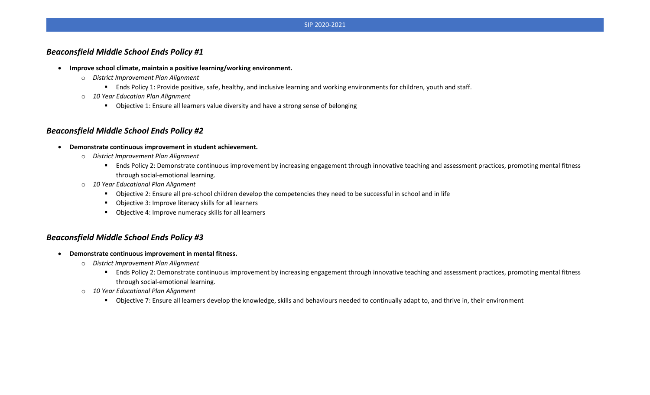### *Beaconsfield Middle School Ends Policy #1*

- **Improve school climate, maintain a positive learning/working environment.**
	- o *District Improvement Plan Alignment*
		- Ends Policy 1: Provide positive, safe, healthy, and inclusive learning and working environments for children, youth and staff.
	- o *10 Year Education Plan Alignment*
		- Objective 1: Ensure all learners value diversity and have a strong sense of belonging

### *Beaconsfield Middle School Ends Policy #2*

- **Demonstrate continuous improvement in student achievement.**
	- o *District Improvement Plan Alignment*
		- **Ends Policy 2: Demonstrate continuous improvement by increasing engagement through innovative teaching and assessment practices, promoting mental fitness** through social-emotional learning.
	- o *10 Year Educational Plan Alignment*
		- Objective 2: Ensure all pre-school children develop the competencies they need to be successful in school and in life
		- Objective 3: Improve literacy skills for all learners
		- Objective 4: Improve numeracy skills for all learners

### *Beaconsfield Middle School Ends Policy #3*

- **Demonstrate continuous improvement in mental fitness.**
	- o *District Improvement Plan Alignment*
		- **Ends Policy 2: Demonstrate continuous improvement by increasing engagement through innovative teaching and assessment practices, promoting mental fitness** through social-emotional learning.
	- o *10 Year Educational Plan Alignment*
		- **Diamage 1:** Ensure all learners develop the knowledge, skills and behaviours needed to continually adapt to, and thrive in, their environment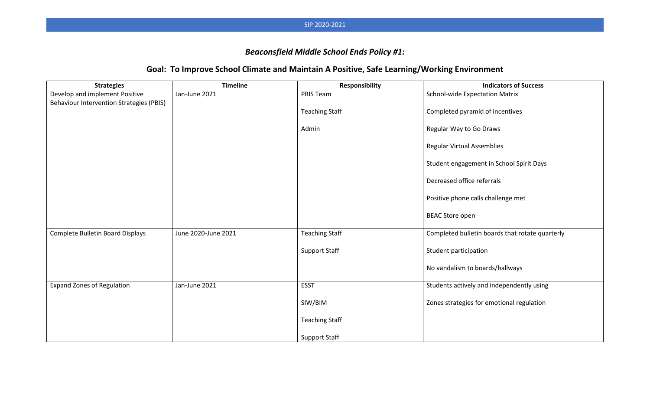# *Beaconsfield Middle School Ends Policy #1:*

# **Goal: To Improve School Climate and Maintain A Positive, Safe Learning/Working Environment**

| <b>Strategies</b>                        | <b>Timeline</b>     | <b>Responsibility</b> | <b>Indicators of Success</b>                    |
|------------------------------------------|---------------------|-----------------------|-------------------------------------------------|
| Develop and implement Positive           | Jan-June 2021       | PBIS Team             | School-wide Expectation Matrix                  |
| Behaviour Intervention Strategies (PBIS) |                     |                       |                                                 |
|                                          |                     | <b>Teaching Staff</b> | Completed pyramid of incentives                 |
|                                          |                     | Admin                 | Regular Way to Go Draws                         |
|                                          |                     |                       | <b>Regular Virtual Assemblies</b>               |
|                                          |                     |                       | Student engagement in School Spirit Days        |
|                                          |                     |                       | Decreased office referrals                      |
|                                          |                     |                       | Positive phone calls challenge met              |
|                                          |                     |                       | <b>BEAC Store open</b>                          |
| Complete Bulletin Board Displays         | June 2020-June 2021 | <b>Teaching Staff</b> | Completed bulletin boards that rotate quarterly |
|                                          |                     | <b>Support Staff</b>  | Student participation                           |
|                                          |                     |                       | No vandalism to boards/hallways                 |
| <b>Expand Zones of Regulation</b>        | Jan-June 2021       | <b>ESST</b>           | Students actively and independently using       |
|                                          |                     | SIW/BIM               | Zones strategies for emotional regulation       |
|                                          |                     | <b>Teaching Staff</b> |                                                 |
|                                          |                     | <b>Support Staff</b>  |                                                 |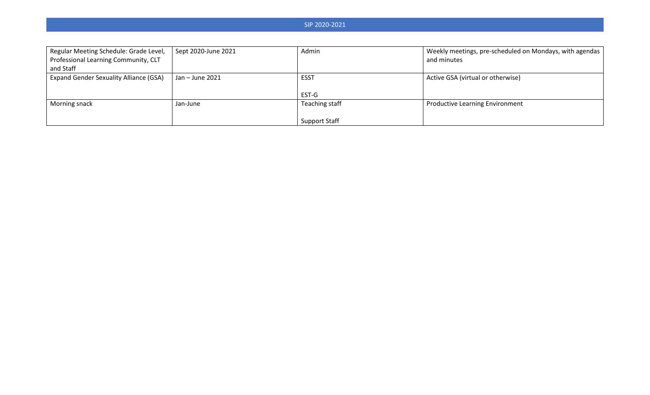| Regular Meeting Schedule: Grade Level,        | Sept 2020-June 2021 | Admin                | Weekly meetings, pre-scheduled on Mondays, with agendas |
|-----------------------------------------------|---------------------|----------------------|---------------------------------------------------------|
| Professional Learning Community, CLT          |                     |                      | and minutes                                             |
| and Staff                                     |                     |                      |                                                         |
| <b>Expand Gender Sexuality Alliance (GSA)</b> | Jan – June 2021     | <b>ESST</b>          | Active GSA (virtual or otherwise)                       |
|                                               |                     |                      |                                                         |
|                                               |                     | EST-G                |                                                         |
| Morning snack                                 | Jan-June            | Teaching staff       | <b>Productive Learning Environment</b>                  |
|                                               |                     |                      |                                                         |
|                                               |                     | <b>Support Staff</b> |                                                         |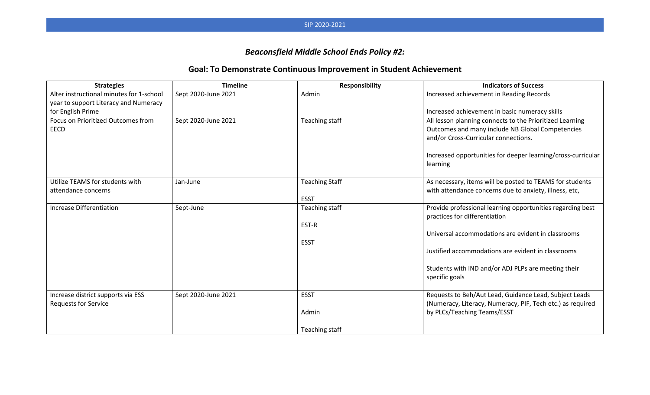# *Beaconsfield Middle School Ends Policy #2:*

# **Goal: To Demonstrate Continuous Improvement in Student Achievement**

| <b>Strategies</b>                        | <b>Timeline</b>     | Responsibility        | <b>Indicators of Success</b>                                                                |
|------------------------------------------|---------------------|-----------------------|---------------------------------------------------------------------------------------------|
| Alter instructional minutes for 1-school | Sept 2020-June 2021 | Admin                 | Increased achievement in Reading Records                                                    |
| year to support Literacy and Numeracy    |                     |                       |                                                                                             |
| for English Prime                        |                     |                       | Increased achievement in basic numeracy skills                                              |
| Focus on Prioritized Outcomes from       | Sept 2020-June 2021 | Teaching staff        | All lesson planning connects to the Prioritized Learning                                    |
| <b>EECD</b>                              |                     |                       | Outcomes and many include NB Global Competencies                                            |
|                                          |                     |                       | and/or Cross-Curricular connections.                                                        |
|                                          |                     |                       | Increased opportunities for deeper learning/cross-curricular                                |
|                                          |                     |                       | learning                                                                                    |
| Utilize TEAMS for students with          | Jan-June            | <b>Teaching Staff</b> | As necessary, items will be posted to TEAMS for students                                    |
| attendance concerns                      |                     |                       | with attendance concerns due to anxiety, illness, etc,                                      |
|                                          |                     | <b>ESST</b>           |                                                                                             |
| <b>Increase Differentiation</b>          | Sept-June           | Teaching staff        | Provide professional learning opportunities regarding best<br>practices for differentiation |
|                                          |                     | EST-R                 |                                                                                             |
|                                          |                     |                       | Universal accommodations are evident in classrooms                                          |
|                                          |                     | <b>ESST</b>           |                                                                                             |
|                                          |                     |                       | Justified accommodations are evident in classrooms                                          |
|                                          |                     |                       | Students with IND and/or ADJ PLPs are meeting their                                         |
|                                          |                     |                       | specific goals                                                                              |
| Increase district supports via ESS       | Sept 2020-June 2021 | <b>ESST</b>           | Requests to Beh/Aut Lead, Guidance Lead, Subject Leads                                      |
| <b>Requests for Service</b>              |                     |                       | (Numeracy, Literacy, Numeracy, PIF, Tech etc.) as required                                  |
|                                          |                     | Admin                 | by PLCs/Teaching Teams/ESST                                                                 |
|                                          |                     | Teaching staff        |                                                                                             |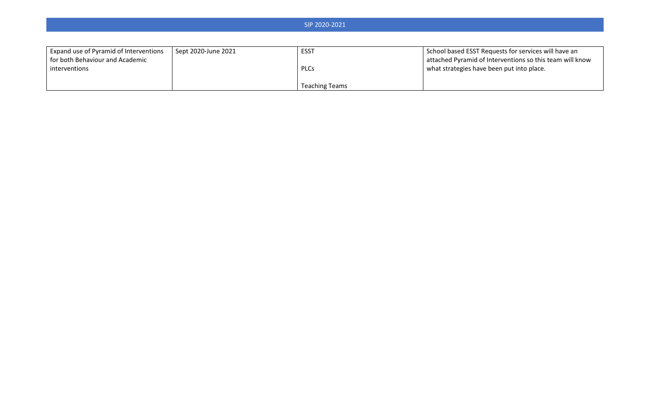| SIP 2020-2021                                                             |                     |                       |                                                                                                                  |
|---------------------------------------------------------------------------|---------------------|-----------------------|------------------------------------------------------------------------------------------------------------------|
|                                                                           |                     |                       |                                                                                                                  |
| Expand use of Pyramid of Interventions<br>for both Behaviour and Academic | Sept 2020-June 2021 | <b>ESST</b>           | School based ESST Requests for services will have an<br>attached Pyramid of Interventions so this team will know |
| interventions                                                             |                     | <b>PLCs</b>           | what strategies have been put into place.                                                                        |
|                                                                           |                     | <b>Teaching Teams</b> |                                                                                                                  |